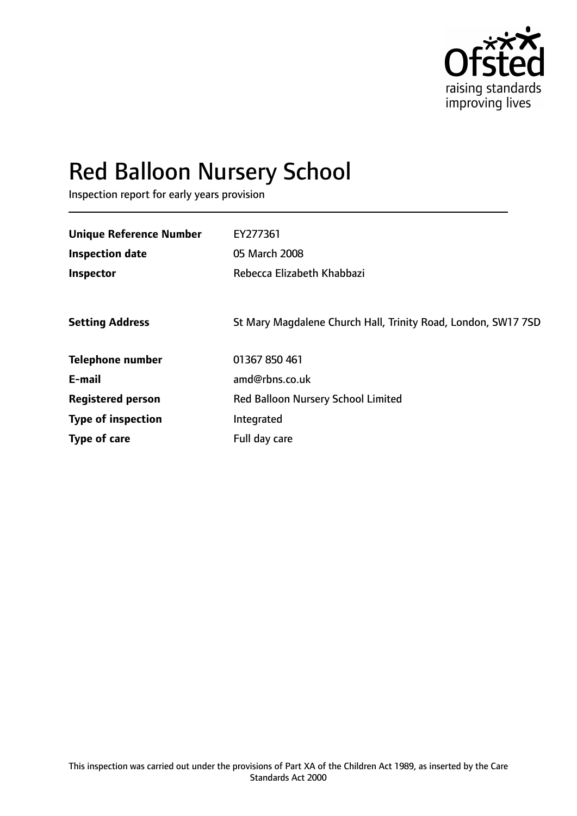

# Red Balloon Nursery School

Inspection report for early years provision

| <b>Unique Reference Number</b> | EY277361                                                      |
|--------------------------------|---------------------------------------------------------------|
| <b>Inspection date</b>         | 05 March 2008                                                 |
| Inspector                      | Rebecca Elizabeth Khabbazi                                    |
|                                |                                                               |
| <b>Setting Address</b>         | St Mary Magdalene Church Hall, Trinity Road, London, SW17 7SD |
| <b>Telephone number</b>        | 01367 850 461                                                 |
| E-mail                         | amd@rbns.co.uk                                                |
| <b>Registered person</b>       | <b>Red Balloon Nursery School Limited</b>                     |
| <b>Type of inspection</b>      | Integrated                                                    |
| Type of care                   | Full day care                                                 |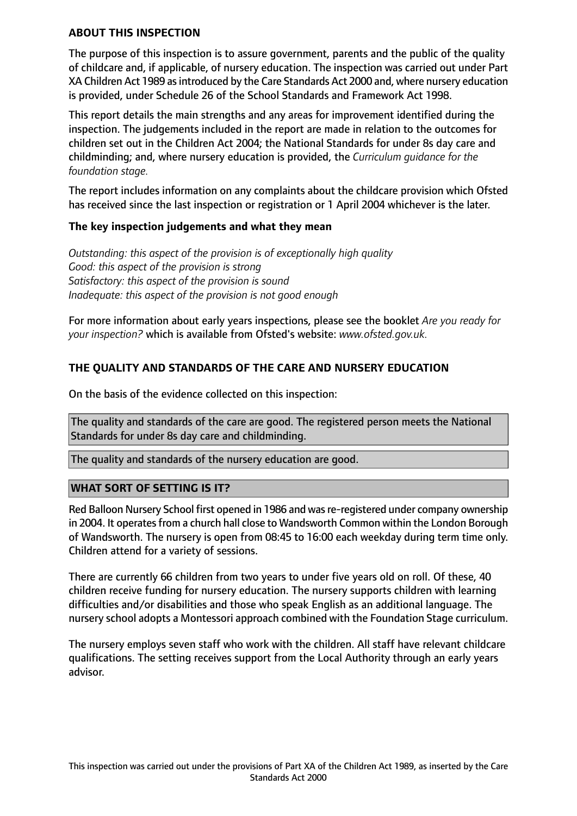## **ABOUT THIS INSPECTION**

The purpose of this inspection is to assure government, parents and the public of the quality of childcare and, if applicable, of nursery education. The inspection was carried out under Part XA Children Act 1989 as introduced by the Care Standards Act 2000 and, where nursery education is provided, under Schedule 26 of the School Standards and Framework Act 1998.

This report details the main strengths and any areas for improvement identified during the inspection. The judgements included in the report are made in relation to the outcomes for children set out in the Children Act 2004; the National Standards for under 8s day care and childminding; and, where nursery education is provided, the *Curriculum guidance for the foundation stage.*

The report includes information on any complaints about the childcare provision which Ofsted has received since the last inspection or registration or 1 April 2004 whichever is the later.

## **The key inspection judgements and what they mean**

*Outstanding: this aspect of the provision is of exceptionally high quality Good: this aspect of the provision is strong Satisfactory: this aspect of the provision is sound Inadequate: this aspect of the provision is not good enough*

For more information about early years inspections, please see the booklet *Are you ready for your inspection?* which is available from Ofsted's website: *www.ofsted.gov.uk.*

# **THE QUALITY AND STANDARDS OF THE CARE AND NURSERY EDUCATION**

On the basis of the evidence collected on this inspection:

The quality and standards of the care are good. The registered person meets the National Standards for under 8s day care and childminding.

The quality and standards of the nursery education are good.

## **WHAT SORT OF SETTING IS IT?**

Red Balloon Nursery School first opened in 1986 and was re-registered under company ownership in 2004. It operates from a church hall close to Wandsworth Common within the London Borough of Wandsworth. The nursery is open from 08:45 to 16:00 each weekday during term time only. Children attend for a variety of sessions.

There are currently 66 children from two years to under five years old on roll. Of these, 40 children receive funding for nursery education. The nursery supports children with learning difficulties and/or disabilities and those who speak English as an additional language. The nursery school adopts a Montessori approach combined with the Foundation Stage curriculum.

The nursery employs seven staff who work with the children. All staff have relevant childcare qualifications. The setting receives support from the Local Authority through an early years advisor.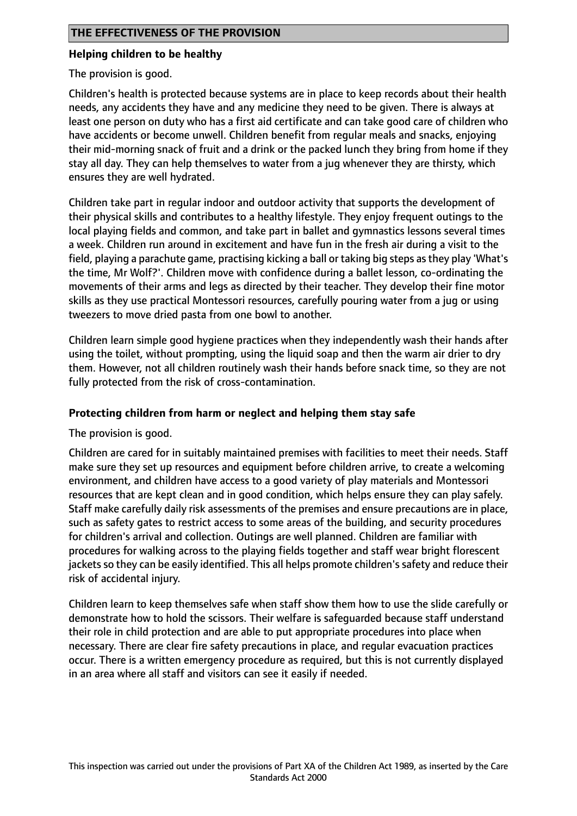## **Helping children to be healthy**

The provision is good.

Children's health is protected because systems are in place to keep records about their health needs, any accidents they have and any medicine they need to be given. There is always at least one person on duty who has a first aid certificate and can take good care of children who have accidents or become unwell. Children benefit from regular meals and snacks, enjoying their mid-morning snack of fruit and a drink or the packed lunch they bring from home if they stay all day. They can help themselves to water from a jug whenever they are thirsty, which ensures they are well hydrated.

Children take part in regular indoor and outdoor activity that supports the development of their physical skills and contributes to a healthy lifestyle. They enjoy frequent outings to the local playing fields and common, and take part in ballet and gymnastics lessons several times a week. Children run around in excitement and have fun in the fresh air during a visit to the field, playing a parachute game, practising kicking a ball or taking big steps asthey play 'What's the time, Mr Wolf?'. Children move with confidence during a ballet lesson, co-ordinating the movements of their arms and legs as directed by their teacher. They develop their fine motor skills as they use practical Montessori resources, carefully pouring water from a jug or using tweezers to move dried pasta from one bowl to another.

Children learn simple good hygiene practices when they independently wash their hands after using the toilet, without prompting, using the liquid soap and then the warm air drier to dry them. However, not all children routinely wash their hands before snack time, so they are not fully protected from the risk of cross-contamination.

## **Protecting children from harm or neglect and helping them stay safe**

The provision is good.

Children are cared for in suitably maintained premises with facilities to meet their needs. Staff make sure they set up resources and equipment before children arrive, to create a welcoming environment, and children have access to a good variety of play materials and Montessori resources that are kept clean and in good condition, which helps ensure they can play safely. Staff make carefully daily risk assessments of the premises and ensure precautions are in place, such as safety gates to restrict access to some areas of the building, and security procedures for children's arrival and collection. Outings are well planned. Children are familiar with procedures for walking across to the playing fields together and staff wear bright florescent jackets so they can be easily identified. This all helps promote children's safety and reduce their risk of accidental injury.

Children learn to keep themselves safe when staff show them how to use the slide carefully or demonstrate how to hold the scissors. Their welfare is safeguarded because staff understand their role in child protection and are able to put appropriate procedures into place when necessary. There are clear fire safety precautions in place, and regular evacuation practices occur. There is a written emergency procedure as required, but this is not currently displayed in an area where all staff and visitors can see it easily if needed.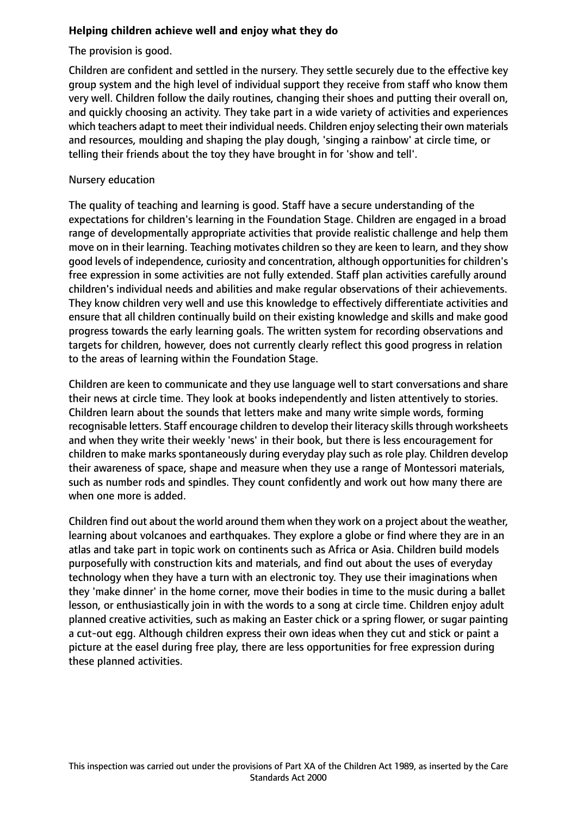# **Helping children achieve well and enjoy what they do**

The provision is good.

Children are confident and settled in the nursery. They settle securely due to the effective key group system and the high level of individual support they receive from staff who know them very well. Children follow the daily routines, changing their shoes and putting their overall on, and quickly choosing an activity. They take part in a wide variety of activities and experiences which teachers adapt to meet their individual needs. Children enjoy selecting their own materials and resources, moulding and shaping the play dough, 'singing a rainbow' at circle time, or telling their friends about the toy they have brought in for 'show and tell'.

## Nursery education

The quality of teaching and learning is good. Staff have a secure understanding of the expectations for children's learning in the Foundation Stage. Children are engaged in a broad range of developmentally appropriate activities that provide realistic challenge and help them move on in their learning. Teaching motivates children so they are keen to learn, and they show good levels of independence, curiosity and concentration, although opportunities for children's free expression in some activities are not fully extended. Staff plan activities carefully around children's individual needs and abilities and make regular observations of their achievements. They know children very well and use this knowledge to effectively differentiate activities and ensure that all children continually build on their existing knowledge and skills and make good progress towards the early learning goals. The written system for recording observations and targets for children, however, does not currently clearly reflect this good progress in relation to the areas of learning within the Foundation Stage.

Children are keen to communicate and they use language well to start conversations and share their news at circle time. They look at books independently and listen attentively to stories. Children learn about the sounds that letters make and many write simple words, forming recognisable letters. Staff encourage children to develop their literacy skills through worksheets and when they write their weekly 'news' in their book, but there is less encouragement for children to make marks spontaneously during everyday play such as role play. Children develop their awareness of space, shape and measure when they use a range of Montessori materials, such as number rods and spindles. They count confidently and work out how many there are when one more is added.

Children find out about the world around them when they work on a project about the weather, learning about volcanoes and earthquakes. They explore a globe or find where they are in an atlas and take part in topic work on continents such as Africa or Asia. Children build models purposefully with construction kits and materials, and find out about the uses of everyday technology when they have a turn with an electronic toy. They use their imaginations when they 'make dinner' in the home corner, move their bodies in time to the music during a ballet lesson, or enthusiastically join in with the words to a song at circle time. Children enjoy adult planned creative activities, such as making an Easter chick or a spring flower, or sugar painting a cut-out egg. Although children express their own ideas when they cut and stick or paint a picture at the easel during free play, there are less opportunities for free expression during these planned activities.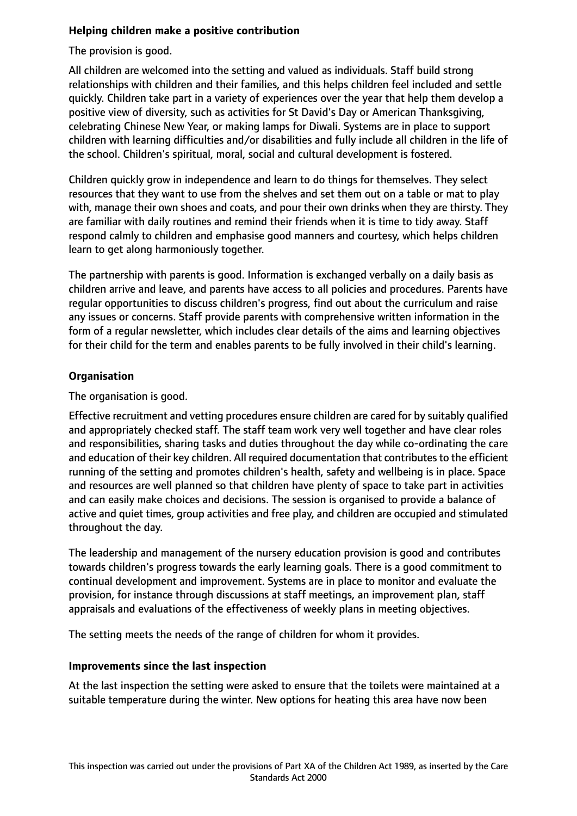# **Helping children make a positive contribution**

The provision is good.

All children are welcomed into the setting and valued as individuals. Staff build strong relationships with children and their families, and this helps children feel included and settle quickly. Children take part in a variety of experiences over the year that help them develop a positive view of diversity, such as activities for St David's Day or American Thanksgiving, celebrating Chinese New Year, or making lamps for Diwali. Systems are in place to support children with learning difficulties and/or disabilities and fully include all children in the life of the school. Children's spiritual, moral, social and cultural development is fostered.

Children quickly grow in independence and learn to do things for themselves. They select resources that they want to use from the shelves and set them out on a table or mat to play with, manage their own shoes and coats, and pour their own drinks when they are thirsty. They are familiar with daily routines and remind their friends when it is time to tidy away. Staff respond calmly to children and emphasise good manners and courtesy, which helps children learn to get along harmoniously together.

The partnership with parents is good. Information is exchanged verbally on a daily basis as children arrive and leave, and parents have access to all policies and procedures. Parents have regular opportunities to discuss children's progress, find out about the curriculum and raise any issues or concerns. Staff provide parents with comprehensive written information in the form of a regular newsletter, which includes clear details of the aims and learning objectives for their child for the term and enables parents to be fully involved in their child's learning.

# **Organisation**

The organisation is good.

Effective recruitment and vetting procedures ensure children are cared for by suitably qualified and appropriately checked staff. The staff team work very well together and have clear roles and responsibilities, sharing tasks and duties throughout the day while co-ordinating the care and education of their key children. All required documentation that contributes to the efficient running of the setting and promotes children's health, safety and wellbeing is in place. Space and resources are well planned so that children have plenty of space to take part in activities and can easily make choices and decisions. The session is organised to provide a balance of active and quiet times, group activities and free play, and children are occupied and stimulated throughout the day.

The leadership and management of the nursery education provision is good and contributes towards children's progress towards the early learning goals. There is a good commitment to continual development and improvement. Systems are in place to monitor and evaluate the provision, for instance through discussions at staff meetings, an improvement plan, staff appraisals and evaluations of the effectiveness of weekly plans in meeting objectives.

The setting meets the needs of the range of children for whom it provides.

## **Improvements since the last inspection**

At the last inspection the setting were asked to ensure that the toilets were maintained at a suitable temperature during the winter. New options for heating this area have now been